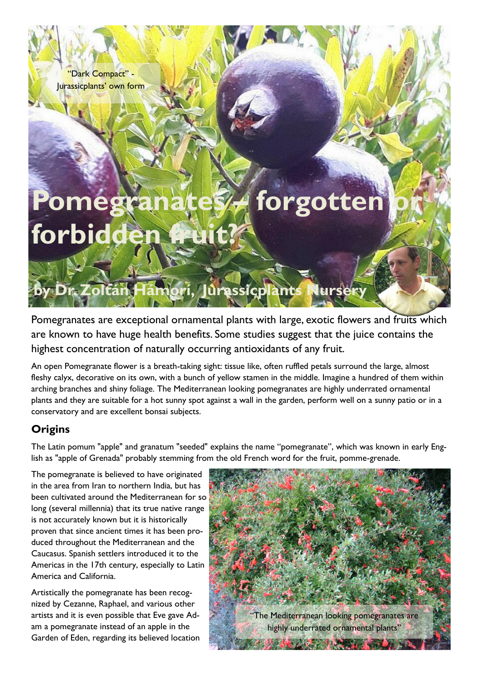"Dark Compact" - Jurassicplants' own form

# **Pomegranates a forgotten** forbidden

**by Dr. Zoltán Hámorí, Jurassicplants Nursery**

Pomegranates are exceptional ornamental plants with large, exotic flowers and fruits which are known to have huge health benefits. Some studies suggest that the juice contains the highest concentration of naturally occurring antioxidants of any fruit.

An open Pomegranate flower is a breath-taking sight: tissue like, often ruffled petals surround the large, almost fleshy calyx, decorative on its own, with a bunch of yellow stamen in the middle. Imagine a hundred of them within arching branches and shiny foliage. The Mediterranean looking pomegranates are highly underrated ornamental plants and they are suitable for a hot sunny spot against a wall in the garden, perform well on a sunny patio or in a conservatory and are excellent bonsai subjects.

# **Origins**

The Latin pomum "apple" and granatum "seeded" explains the name "pomegranate", which was known in early English as "apple of Grenada" probably stemming from the old French word for the fruit, pomme-grenade.

The pomegranate is believed to have originated in the area from Iran to northern India, but has been cultivated around the Mediterranean for so long (several millennia) that its true native range is not accurately known but it is historically proven that since ancient times it has been produced throughout the Mediterranean and the Caucasus. Spanish settlers introduced it to the Americas in the 17th century, especially to Latin America and California.

Artistically the pomegranate has been recognized by Cezanne, Raphael, and various other artists and it is even possible that Eve gave Adam a pomegranate instead of an apple in the Garden of Eden, regarding its believed location

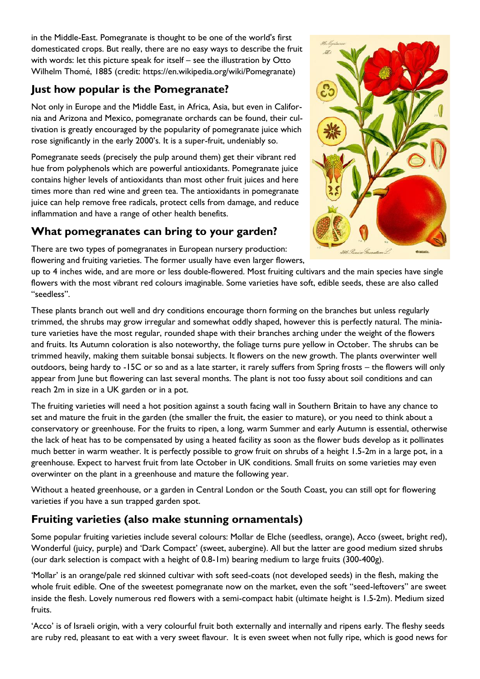in the Middle-East. Pomegranate is thought to be one of the world's first domesticated crops. But really, there are no easy ways to describe the fruit with words: let this picture speak for itself – see the illustration by Otto Wilhelm Thomé, 1885 (credit: https://en.wikipedia.org/wiki/Pomegranate)

# **Just how popular is the Pomegranate?**

Not only in Europe and the Middle East, in Africa, Asia, but even in California and Arizona and Mexico, pomegranate orchards can be found, their cultivation is greatly encouraged by the popularity of pomegranate juice which rose significantly in the early 2000's. It is a super-fruit, undeniably so.

Pomegranate seeds (precisely the pulp around them) get their vibrant red hue from polyphenols which are powerful antioxidants. Pomegranate juice contains higher levels of antioxidants than most other fruit juices and here times more than red wine and green tea. The antioxidants in pomegranate juice can help remove free radicals, protect cells from damage, and reduce inflammation and have a range of other health benefits.

# **What pomegranates can bring to your garden?**

There are two types of pomegranates in European nursery production: flowering and fruiting varieties. The former usually have even larger flowers,



up to 4 inches wide, and are more or less double-flowered. Most fruiting cultivars and the main species have single flowers with the most vibrant red colours imaginable. Some varieties have soft, edible seeds, these are also called "seedless".

These plants branch out well and dry conditions encourage thorn forming on the branches but unless regularly trimmed, the shrubs may grow irregular and somewhat oddly shaped, however this is perfectly natural. The miniature varieties have the most regular, rounded shape with their branches arching under the weight of the flowers and fruits. Its Autumn coloration is also noteworthy, the foliage turns pure yellow in October. The shrubs can be trimmed heavily, making them suitable bonsai subjects. It flowers on the new growth. The plants overwinter well outdoors, being hardy to -15C or so and as a late starter, it rarely suffers from Spring frosts – the flowers will only appear from June but flowering can last several months. The plant is not too fussy about soil conditions and can reach 2m in size in a UK garden or in a pot.

The fruiting varieties will need a hot position against a south facing wall in Southern Britain to have any chance to set and mature the fruit in the garden (the smaller the fruit, the easier to mature), or you need to think about a conservatory or greenhouse. For the fruits to ripen, a long, warm Summer and early Autumn is essential, otherwise the lack of heat has to be compensated by using a heated facility as soon as the flower buds develop as it pollinates much better in warm weather. It is perfectly possible to grow fruit on shrubs of a height 1.5-2m in a large pot, in a greenhouse. Expect to harvest fruit from late October in UK conditions. Small fruits on some varieties may even overwinter on the plant in a greenhouse and mature the following year.

Without a heated greenhouse, or a garden in Central London or the South Coast, you can still opt for flowering varieties if you have a sun trapped garden spot.

## **Fruiting varieties (also make stunning ornamentals)**

Some popular fruiting varieties include several colours: Mollar de Elche (seedless, orange), Acco (sweet, bright red), Wonderful (juicy, purple) and 'Dark Compact' (sweet, aubergine). All but the latter are good medium sized shrubs (our dark selection is compact with a height of 0.8-1m) bearing medium to large fruits (300-400g).

'Mollar' is an orange/pale red skinned cultivar with soft seed-coats (not developed seeds) in the flesh, making the whole fruit edible. One of the sweetest pomegranate now on the market, even the soft "seed-leftovers" are sweet inside the flesh. Lovely numerous red flowers with a semi-compact habit (ultimate height is 1.5-2m). Medium sized fruits.

'Acco' is of Israeli origin, with a very colourful fruit both externally and internally and ripens early. The fleshy seeds are ruby red, pleasant to eat with a very sweet flavour. It is even sweet when not fully ripe, which is good news for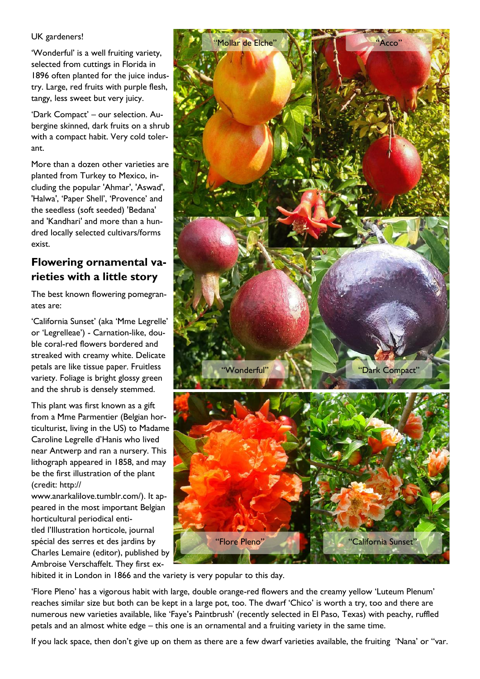UK gardeners!

'Wonderful' is a well fruiting variety, selected from cuttings in Florida in 1896 often planted for the juice industry. Large, red fruits with purple flesh, tangy, less sweet but very juicy.

'Dark Compact' – our selection. Aubergine skinned, dark fruits on a shrub with a compact habit. Very cold tolerant.

More than a dozen other varieties are planted from Turkey to Mexico, including the popular 'Ahmar', 'Aswad', 'Halwa', 'Paper Shell', 'Provence' and the seedless (soft seeded) 'Bedana' and 'Kandhari' and more than a hundred locally selected cultivars/forms exist.

## **Flowering ornamental varieties with a little story**

The best known flowering pomegranates are:

'California Sunset' (aka 'Mme Legrelle' or 'Legrelleae') - Carnation-like, double coral-red flowers bordered and streaked with creamy white. Delicate petals are like tissue paper. Fruitless variety. Foliage is bright glossy green and the shrub is densely stemmed.

This plant was first known as a gift from a Mme Parmentier (Belgian horticulturist, living in the US) to Madame Caroline Legrelle d'Hanis who lived near Antwerp and ran a nursery. This lithograph appeared in 1858, and may be the first illustration of the plant (credit: http://

www.anarkalilove.tumblr.com/). It appeared in the most important Belgian horticultural periodical entitled l'Illustration horticole, journal spécial des serres et des jardins by Charles Lemaire (editor), published by Ambroise Verschaffelt. They first ex-



hibited it in London in 1866 and the variety is very popular to this day.

'Flore Pleno' has a vigorous habit with large, double orange-red flowers and the creamy yellow 'Luteum Plenum' reaches similar size but both can be kept in a large pot, too. The dwarf 'Chico' is worth a try, too and there are numerous new varieties available, like 'Faye's Paintbrush' (recently selected in El Paso, Texas) with peachy, ruffled petals and an almost white edge – this one is an ornamental and a fruiting variety in the same time.

If you lack space, then don't give up on them as there are a few dwarf varieties available, the fruiting 'Nana' or "var.